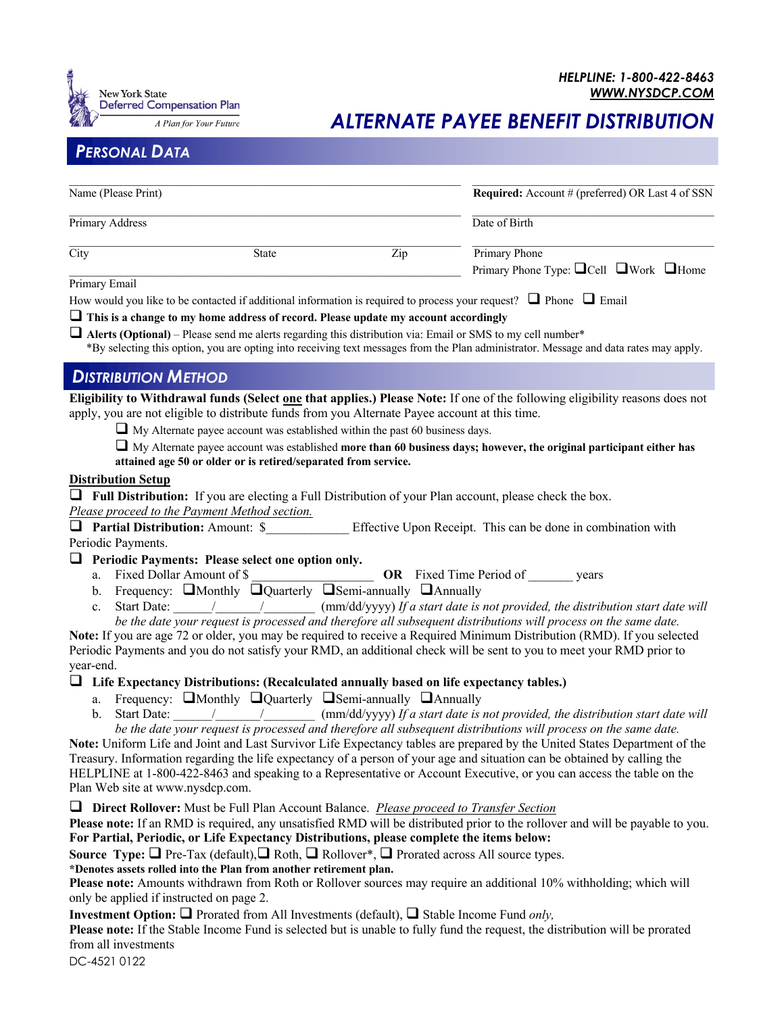

*ALTERNATE PAYEE BENEFIT DISTRIBUTION* 

# *PERSONAL DATA*

| Name (Please Print)<br>Primary Address |  |  | <b>Required:</b> Account # (preferred) OR Last 4 of SSN<br>Date of Birth |
|----------------------------------------|--|--|--------------------------------------------------------------------------|
|                                        |  |  |                                                                          |
| Primary Email                          |  |  |                                                                          |

How would you like to be contacted if additional information is required to process your request?  $\Box$  Phone  $\Box$  Email

 $\Box$  This is a change to my home address of record. Please update my account accordingly

 $\Box$  **Alerts (Optional)** – Please send me alerts regarding this distribution via: Email or SMS to my cell number\*

\*By selecting this option, you are opting into receiving text messages from the Plan administrator. Message and data rates may apply.

## *DISTRIBUTION METHOD*

**Eligibility to Withdrawal funds (Select one that applies.) Please Note:** If one of the following eligibility reasons does not apply, you are not eligible to distribute funds from you Alternate Payee account at this time.

 $\Box$  My Alternate payee account was established within the past 60 business days.

 $\Box$  My Alternate payee account was established **more than 60 business days; however, the original participant either has attained age 50 or older or is retired/separated from service.**

#### **Distribution Setup**

 $\Box$  **Full Distribution:** If you are electing a Full Distribution of your Plan account, please check the box.

*Please proceed to the Payment Method section.*

**Q Partial Distribution:** Amount: \$ Effective Upon Receipt. This can be done in combination with Periodic Payments.

 $\Box$  Periodic Payments: Please select one option only.

- a. Fixed Dollar Amount of \$
- b. Frequency:  $\square$ Monthly  $\square$ Quarterly  $\square$ Semi-annually  $\square$ Annually
- c. Start Date:  $/$  /  $\rm (mm/dd/yyy)$  *If a start date is not provided, the distribution start date will be the date your request is processed and therefore all subsequent distributions will process on the same date.*

**Note:** If you are age 72 or older, you may be required to receive a Required Minimum Distribution (RMD). If you selected Periodic Payments and you do not satisfy your RMD, an additional check will be sent to you to meet your RMD prior to year-end.

## □ Life Expectancy Distributions: (Recalculated annually based on life expectancy tables.)

- a. Frequency:  $\Box$ Monthly  $\Box$ Quarterly  $\Box$ Semi-annually  $\Box$ Annually
- b. Start Date: \_\_\_\_\_\_/\_\_\_\_\_\_\_/\_\_\_\_\_\_\_\_ (mm/dd/yyyy) *If a start date is not provided, the distribution start date will be the date your request is processed and therefore all subsequent distributions will process on the same date.*

**Note:** Uniform Life and Joint and Last Survivor Life Expectancy tables are prepared by the United States Department of the Treasury. Information regarding the life expectancy of a person of your age and situation can be obtained by calling the HELPLINE at 1-800-422-8463 and speaking to a Representative or Account Executive, or you can access the table on the Plan Web site at www.nysdcp.com.

#### q **Direct Rollover:** Must be Full Plan Account Balance. *Please proceed to Transfer Section*

**Please note:** If an RMD is required, any unsatisfied RMD will be distributed prior to the rollover and will be payable to you. **For Partial, Periodic, or Life Expectancy Distributions, please complete the items below:**

**Source Type:**  $\Box$  Pre-Tax (default),  $\Box$  Roth,  $\Box$  Rollover<sup>\*</sup>,  $\Box$  Prorated across All source types.

#### **\*Denotes assets rolled into the Plan from another retirement plan.**

**Please note:** Amounts withdrawn from Roth or Rollover sources may require an additional 10% withholding; which will only be applied if instructed on page 2.

**Investment Option:**  $\Box$  Prorated from All Investments (default),  $\Box$  Stable Income Fund *only*,

**Please note:** If the Stable Income Fund is selected but is unable to fully fund the request, the distribution will be prorated from all investments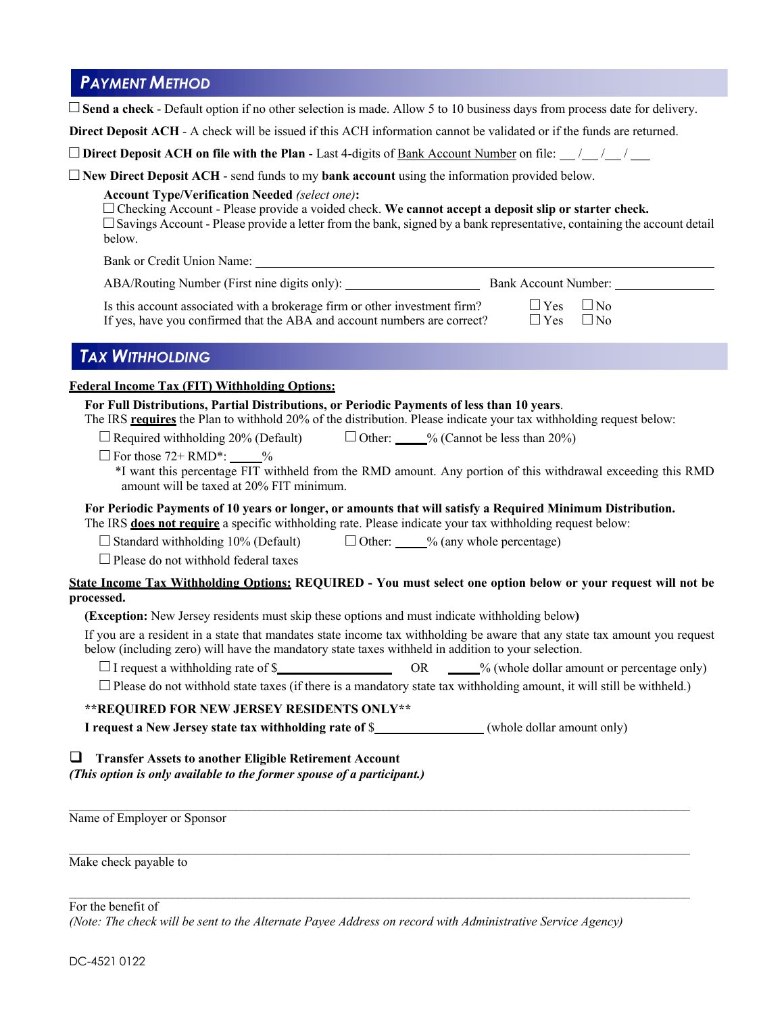# *PAYMENT METHOD*

| $\Box$ Send a check - Default option if no other selection is made. Allow 5 to 10 business days from process date for delivery.                                                                                                                                                                                                                                                                                                                                                                                                                                                                                                                                                                                                                                                                                                                              |
|--------------------------------------------------------------------------------------------------------------------------------------------------------------------------------------------------------------------------------------------------------------------------------------------------------------------------------------------------------------------------------------------------------------------------------------------------------------------------------------------------------------------------------------------------------------------------------------------------------------------------------------------------------------------------------------------------------------------------------------------------------------------------------------------------------------------------------------------------------------|
| Direct Deposit ACH - A check will be issued if this ACH information cannot be validated or if the funds are returned.                                                                                                                                                                                                                                                                                                                                                                                                                                                                                                                                                                                                                                                                                                                                        |
| $\square$ Direct Deposit ACH on file with the Plan - Last 4-digits of <u>Bank Account Number</u> on file: __/__/__/ ___/                                                                                                                                                                                                                                                                                                                                                                                                                                                                                                                                                                                                                                                                                                                                     |
| $\Box$ New Direct Deposit ACH - send funds to my bank account using the information provided below.<br><b>Account Type/Verification Needed (select one):</b><br>$\Box$ Checking Account - Please provide a voided check. We cannot accept a deposit slip or starter check.<br>$\Box$ Savings Account - Please provide a letter from the bank, signed by a bank representative, containing the account detail<br>below.                                                                                                                                                                                                                                                                                                                                                                                                                                       |
| Bank or Credit Union Name:<br><u>Example 2006</u>                                                                                                                                                                                                                                                                                                                                                                                                                                                                                                                                                                                                                                                                                                                                                                                                            |
|                                                                                                                                                                                                                                                                                                                                                                                                                                                                                                                                                                                                                                                                                                                                                                                                                                                              |
| Is this account associated with a brokerage firm or other investment firm?<br>$\Box$ Yes $\Box$ No<br>If yes, have you confirmed that the ABA and account numbers are correct?<br>$\Box$ Yes<br>$\Box$ No                                                                                                                                                                                                                                                                                                                                                                                                                                                                                                                                                                                                                                                    |
| <b>TAX WITHHOLDING</b>                                                                                                                                                                                                                                                                                                                                                                                                                                                                                                                                                                                                                                                                                                                                                                                                                                       |
| For Full Distributions, Partial Distributions, or Periodic Payments of less than 10 years.<br>The IRS requires the Plan to withhold 20% of the distribution. Please indicate your tax withholding request below:<br>$\Box$ Required withholding 20% (Default) $\Box$ Other: $\Box$ % (Cannot be less than 20%)<br>$\Box$ For those 72+ RMD <sup>*</sup> : $\_\_\_\%$<br>*I want this percentage FIT withheld from the RMD amount. Any portion of this withdrawal exceeding this RMD<br>amount will be taxed at 20% FIT minimum.<br>For Periodic Payments of 10 years or longer, or amounts that will satisfy a Required Minimum Distribution.<br>The IRS <b>does not require</b> a specific withholding rate. Please indicate your tax withholding request below:<br>$\Box$ Standard withholding 10% (Default) $\Box$ Other: $\Box$ % (any whole percentage) |
| $\Box$ Please do not withhold federal taxes                                                                                                                                                                                                                                                                                                                                                                                                                                                                                                                                                                                                                                                                                                                                                                                                                  |
| State Income Tax Withholding Options: REQUIRED - You must select one option below or your request will not be<br>processed.                                                                                                                                                                                                                                                                                                                                                                                                                                                                                                                                                                                                                                                                                                                                  |
| (Exception: New Jersey residents must skip these options and must indicate withholding below)                                                                                                                                                                                                                                                                                                                                                                                                                                                                                                                                                                                                                                                                                                                                                                |
| If you are a resident in a state that mandates state income tax withholding be aware that any state tax amount you request<br>below (including zero) will have the mandatory state taxes withheld in addition to your selection.                                                                                                                                                                                                                                                                                                                                                                                                                                                                                                                                                                                                                             |
|                                                                                                                                                                                                                                                                                                                                                                                                                                                                                                                                                                                                                                                                                                                                                                                                                                                              |
| $\Box$ Please do not withhold state taxes (if there is a mandatory state tax withholding amount, it will still be withheld.)                                                                                                                                                                                                                                                                                                                                                                                                                                                                                                                                                                                                                                                                                                                                 |
| ** REQUIRED FOR NEW JERSEY RESIDENTS ONLY**                                                                                                                                                                                                                                                                                                                                                                                                                                                                                                                                                                                                                                                                                                                                                                                                                  |
| I request a New Jersey state tax withholding rate of \$______________(whole dollar amount only)                                                                                                                                                                                                                                                                                                                                                                                                                                                                                                                                                                                                                                                                                                                                                              |
| <b>Transfer Assets to another Eligible Retirement Account</b><br>u<br>(This option is only available to the former spouse of a participant.)                                                                                                                                                                                                                                                                                                                                                                                                                                                                                                                                                                                                                                                                                                                 |
| Name of Employer or Sponsor                                                                                                                                                                                                                                                                                                                                                                                                                                                                                                                                                                                                                                                                                                                                                                                                                                  |
| Make check payable to                                                                                                                                                                                                                                                                                                                                                                                                                                                                                                                                                                                                                                                                                                                                                                                                                                        |

For the benefit of

*(Note: The check will be sent to the Alternate Payee Address on record with Administrative Service Agency)*